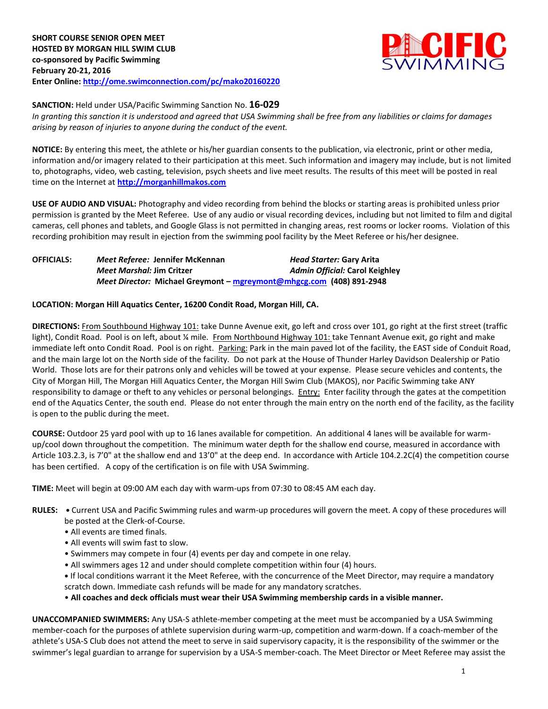

### **SANCTION:** Held under USA/Pacific Swimming Sanction No. **16-029**

*In granting this sanction it is understood and agreed that USA Swimming shall be free from any liabilities or claims for damages arising by reason of injuries to anyone during the conduct of the event.*

**NOTICE:** By entering this meet, the athlete or his/her guardian consents to the publication, via electronic, print or other media, information and/or imagery related to their participation at this meet. Such information and imagery may include, but is not limited to, photographs, video, web casting, television, psych sheets and live meet results. The results of this meet will be posted in real time on the Internet at **[http://morganhillmakos.com](http://morganhillmakos.com/)**

**USE OF AUDIO AND VISUAL:** Photography and video recording from behind the blocks or starting areas is prohibited unless prior permission is granted by the Meet Referee. Use of any audio or visual recording devices, including but not limited to film and digital cameras, cell phones and tablets, and Google Glass is not permitted in changing areas, rest rooms or locker rooms. Violation of this recording prohibition may result in ejection from the swimming pool facility by the Meet Referee or his/her designee.

| <b>OFFICIALS:</b> | Meet Referee: Jennifer McKennan                                      | Head Starter: Gary Arita       |
|-------------------|----------------------------------------------------------------------|--------------------------------|
|                   | Meet Marshal: Jim Critzer                                            | Admin Official: Carol Keighley |
|                   | Meet Director: Michael Greymont - mgreymont@mhgcg.com (408) 891-2948 |                                |

### **LOCATION: Morgan Hill Aquatics Center, 16200 Condit Road, Morgan Hill, CA.**

**DIRECTIONS:** From Southbound Highway 101: take Dunne Avenue exit, go left and cross over 101, go right at the first street (traffic light), Condit Road. Pool is on left, about ¼ mile. From Northbound Highway 101: take Tennant Avenue exit, go right and make immediate left onto Condit Road. Pool is on right. Parking: Park in the main paved lot of the facility, the EAST side of Conduit Road, and the main large lot on the North side of the facility. Do not park at the House of Thunder Harley Davidson Dealership or Patio World. Those lots are for their patrons only and vehicles will be towed at your expense. Please secure vehicles and contents, the City of Morgan Hill, The Morgan Hill Aquatics Center, the Morgan Hill Swim Club (MAKOS), nor Pacific Swimming take ANY responsibility to damage or theft to any vehicles or personal belongings. Entry: Enter facility through the gates at the competition end of the Aquatics Center, the south end. Please do not enter through the main entry on the north end of the facility, as the facility is open to the public during the meet.

**COURSE:** Outdoor 25 yard pool with up to 16 lanes available for competition. An additional 4 lanes will be available for warmup/cool down throughout the competition. The minimum water depth for the shallow end course, measured in accordance with Article 103.2.3, is 7'0" at the shallow end and 13'0" at the deep end. In accordance with Article 104.2.2C(4) the competition course has been certified. A copy of the certification is on file with USA Swimming.

**TIME:** Meet will begin at 09:00 AM each day with warm-ups from 07:30 to 08:45 AM each day.

- **RULES:** Current USA and Pacific Swimming rules and warm-up procedures will govern the meet. A copy of these procedures will be posted at the Clerk-of-Course.
	- All events are timed finals.
	- All events will swim fast to slow.
	- Swimmers may compete in four (4) events per day and compete in one relay.
	- All swimmers ages 12 and under should complete competition within four (4) hours.
	- **•** If local conditions warrant it the Meet Referee, with the concurrence of the Meet Director, may require a mandatory scratch down. Immediate cash refunds will be made for any mandatory scratches.
	- **All coaches and deck officials must wear their USA Swimming membership cards in a visible manner.**

**UNACCOMPANIED SWIMMERS:** Any USA-S athlete-member competing at the meet must be accompanied by a USA Swimming member-coach for the purposes of athlete supervision during warm-up, competition and warm-down. If a coach-member of the athlete's USA-S Club does not attend the meet to serve in said supervisory capacity, it is the responsibility of the swimmer or the swimmer's legal guardian to arrange for supervision by a USA-S member-coach. The Meet Director or Meet Referee may assist the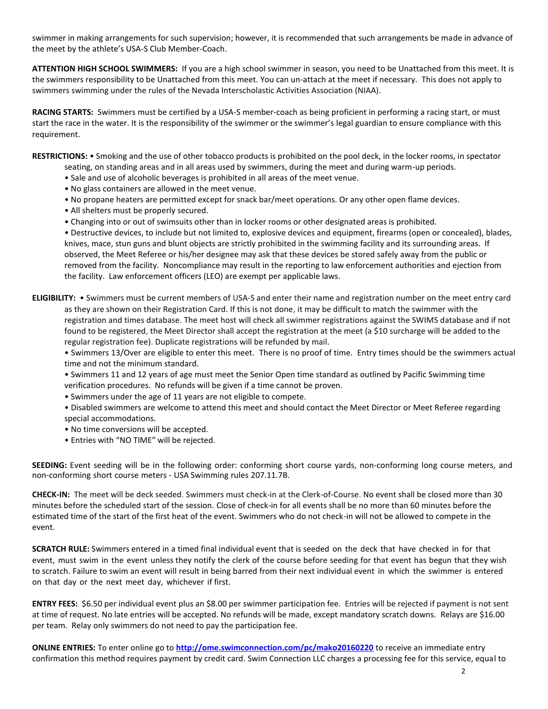swimmer in making arrangements for such supervision; however, it is recommended that such arrangements be made in advance of the meet by the athlete's USA-S Club Member-Coach.

**ATTENTION HIGH SCHOOL SWIMMERS:** If you are a high school swimmer in season, you need to be Unattached from this meet. It is the swimmers responsibility to be Unattached from this meet. You can un-attach at the meet if necessary. This does not apply to swimmers swimming under the rules of the Nevada Interscholastic Activities Association (NIAA).

**RACING STARTS:** Swimmers must be certified by a USA-S member-coach as being proficient in performing a racing start, or must start the race in the water. It is the responsibility of the swimmer or the swimmer's legal guardian to ensure compliance with this requirement.

**RESTRICTIONS:** • Smoking and the use of other tobacco products is prohibited on the pool deck, in the locker rooms, in spectator seating, on standing areas and in all areas used by swimmers, during the meet and during warm-up periods.

- Sale and use of alcoholic beverages is prohibited in all areas of the meet venue.
- No glass containers are allowed in the meet venue.
- No propane heaters are permitted except for snack bar/meet operations. Or any other open flame devices.
- All shelters must be properly secured.
- Changing into or out of swimsuits other than in locker rooms or other designated areas is prohibited.

• Destructive devices, to include but not limited to, explosive devices and equipment, firearms (open or concealed), blades, knives, mace, stun guns and blunt objects are strictly prohibited in the swimming facility and its surrounding areas. If observed, the Meet Referee or his/her designee may ask that these devices be stored safely away from the public or removed from the facility. Noncompliance may result in the reporting to law enforcement authorities and ejection from the facility. Law enforcement officers (LEO) are exempt per applicable laws.

**ELIGIBILITY:** • Swimmers must be current members of USA-S and enter their name and registration number on the meet entry card as they are shown on their Registration Card. If this is not done, it may be difficult to match the swimmer with the registration and times database. The meet host will check all swimmer registrations against the SWIMS database and if not found to be registered, the Meet Director shall accept the registration at the meet (a \$10 surcharge will be added to the regular registration fee). Duplicate registrations will be refunded by mail.

• Swimmers 13/Over are eligible to enter this meet. There is no proof of time. Entry times should be the swimmers actual time and not the minimum standard.

- Swimmers 11 and 12 years of age must meet the Senior Open time standard as outlined by Pacific Swimming time verification procedures. No refunds will be given if a time cannot be proven.
- Swimmers under the age of 11 years are not eligible to compete.
- Disabled swimmers are welcome to attend this meet and should contact the Meet Director or Meet Referee regarding special accommodations.
- No time conversions will be accepted.
- Entries with "NO TIME" will be rejected.

**SEEDING:** Event seeding will be in the following order: conforming short course yards, non-conforming long course meters, and non-conforming short course meters - USA Swimming rules 207.11.7B.

**CHECK-IN:** The meet will be deck seeded. Swimmers must check-in at the Clerk-of-Course. No event shall be closed more than 30 minutes before the scheduled start of the session. Close of check‐in for all events shall be no more than 60 minutes before the estimated time of the start of the first heat of the event. Swimmers who do not check-in will not be allowed to compete in the event.

**SCRATCH RULE:** Swimmers entered in a timed final individual event that is seeded on the deck that have checked in for that event, must swim in the event unless they notify the clerk of the course before seeding for that event has begun that they wish to scratch. Failure to swim an event will result in being barred from their next individual event in which the swimmer is entered on that day or the next meet day, whichever if first.

**ENTRY FEES:** \$6.50 per individual event plus an \$8.00 per swimmer participation fee. Entries will be rejected if payment is not sent at time of request. No late entries will be accepted. No refunds will be made, except mandatory scratch downs. Relays are \$16.00 per team. Relay only swimmers do not need to pay the participation fee.

**ONLINE ENTRIES:** To enter online go to **<http://ome.swimconnection.com/pc/mako20160220>** to receive an immediate entry confirmation this method requires payment by credit card. Swim Connection LLC charges a processing fee for this service, equal to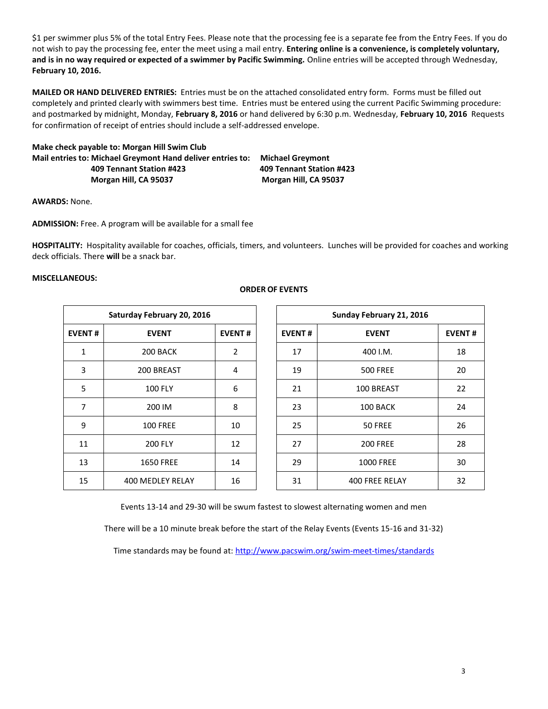\$1 per swimmer plus 5% of the total Entry Fees. Please note that the processing fee is a separate fee from the Entry Fees. If you do not wish to pay the processing fee, enter the meet using a mail entry. **Entering online is a convenience, is completely voluntary, and is in no way required or expected of a swimmer by Pacific Swimming.** Online entries will be accepted through Wednesday, **February 10, 2016.**

**MAILED OR HAND DELIVERED ENTRIES:** Entries must be on the attached consolidated entry form. Forms must be filled out completely and printed clearly with swimmers best time. Entries must be entered using the current Pacific Swimming procedure: and postmarked by midnight, Monday, **February 8, 2016** or hand delivered by 6:30 p.m. Wednesday, **February 10, 2016** Requests for confirmation of receipt of entries should include a self-addressed envelope.

**Make check payable to: Morgan Hill Swim Club Mail entries to: Michael Greymont Hand deliver entries to: Michael Greymont 409 Tennant Station #423 409 Tennant Station #423 Morgan Hill, CA 95037 Morgan Hill, CA 95037**

**AWARDS:** None.

**ADMISSION:** Free. A program will be available for a small fee

**HOSPITALITY:** Hospitality available for coaches, officials, timers, and volunteers. Lunches will be provided for coaches and working deck officials. There **will** be a snack bar.

### **MISCELLANEOUS:**

| Saturday February 20, 2016 |                         |    |  |  |  |  |  |  |  |
|----------------------------|-------------------------|----|--|--|--|--|--|--|--|
| <b>EVENT#</b>              | <b>EVENT#</b>           |    |  |  |  |  |  |  |  |
| 1                          | 200 BACK                | 2  |  |  |  |  |  |  |  |
| 3                          | 200 BREAST              | 4  |  |  |  |  |  |  |  |
| 5                          | <b>100 FLY</b>          | 6  |  |  |  |  |  |  |  |
| 7                          | 200 IM                  | 8  |  |  |  |  |  |  |  |
| 9                          | <b>100 FREE</b>         | 10 |  |  |  |  |  |  |  |
| 11                         | <b>200 FLY</b>          | 12 |  |  |  |  |  |  |  |
| 13                         | <b>1650 FREE</b>        | 14 |  |  |  |  |  |  |  |
| 15                         | <b>400 MEDLEY RELAY</b> | 16 |  |  |  |  |  |  |  |

### **ORDER OF EVENTS**

|               | Saturday February 20, 2016 |               |               | Sunday February 21, 2016 |    |  |  |
|---------------|----------------------------|---------------|---------------|--------------------------|----|--|--|
| <b>EVENT#</b> | <b>EVENT</b>               | <b>EVENT#</b> | <b>EVENT#</b> | <b>EVENT</b>             |    |  |  |
| 1             | 200 BACK                   | 2             | 17            | 400 I.M.                 | 18 |  |  |
| 3             | 200 BREAST                 | 4             | 19            | <b>500 FREE</b>          | 20 |  |  |
| 5             | <b>100 FLY</b>             | 6             | 21            | 100 BREAST               | 22 |  |  |
| 7             | 200 IM                     | 8             | 23            | 100 BACK                 | 24 |  |  |
| 9             | <b>100 FREE</b>            | 10            | 25            | 50 FREE                  | 26 |  |  |
| 11            | <b>200 FLY</b>             | 12            | 27            | <b>200 FREE</b>          | 28 |  |  |
| 13            | <b>1650 FREE</b>           | 14            | 29            | <b>1000 FREE</b>         | 30 |  |  |
| 15            | 400 MEDLEY RELAY           | 16            | 31            | <b>400 FREE RELAY</b>    | 32 |  |  |

Events 13-14 and 29-30 will be swum fastest to slowest alternating women and men

There will be a 10 minute break before the start of the Relay Events (Events 15-16 and 31-32)

Time standards may be found at:<http://www.pacswim.org/swim-meet-times/standards>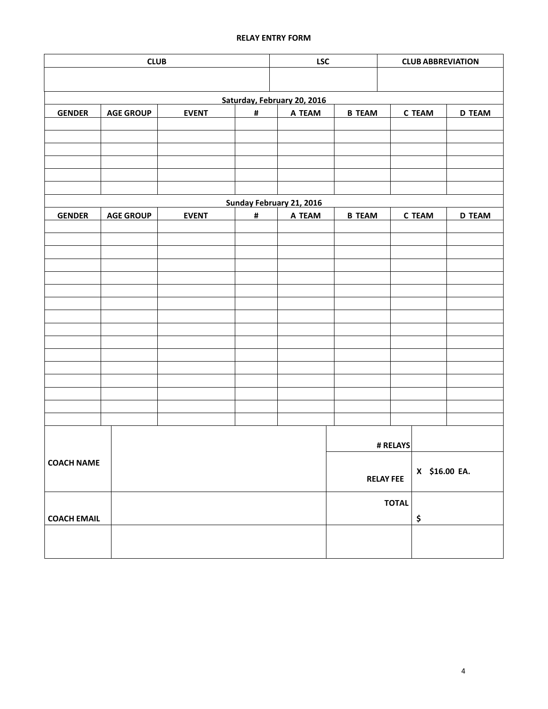# **RELAY ENTRY FORM**

| <b>CLUB</b>        |                                                 |              |   | <b>LSC</b>                  | <b>CLUB ABBREVIATION</b> |                  |               |               |  |
|--------------------|-------------------------------------------------|--------------|---|-----------------------------|--------------------------|------------------|---------------|---------------|--|
|                    |                                                 |              |   |                             |                          |                  |               |               |  |
|                    |                                                 |              |   | Saturday, February 20, 2016 |                          |                  |               |               |  |
| <b>GENDER</b>      | <b>AGE GROUP</b>                                | <b>EVENT</b> | # | A TEAM                      | <b>B TEAM</b>            |                  | <b>C TEAM</b> | <b>D TEAM</b> |  |
|                    |                                                 |              |   |                             |                          |                  |               |               |  |
|                    |                                                 |              |   |                             |                          |                  |               |               |  |
|                    |                                                 |              |   |                             |                          |                  |               |               |  |
|                    |                                                 |              |   |                             |                          |                  |               |               |  |
|                    |                                                 |              |   |                             |                          |                  |               |               |  |
|                    |                                                 |              |   | Sunday February 21, 2016    |                          |                  |               |               |  |
| <b>GENDER</b>      | <b>AGE GROUP</b><br><b>EVENT</b><br>#<br>A TEAM |              |   |                             |                          |                  | <b>C TEAM</b> | <b>D TEAM</b> |  |
|                    |                                                 |              |   |                             |                          |                  |               |               |  |
|                    |                                                 |              |   |                             |                          |                  |               |               |  |
|                    |                                                 |              |   |                             |                          |                  |               |               |  |
|                    |                                                 |              |   |                             |                          |                  |               |               |  |
|                    |                                                 |              |   |                             |                          |                  |               |               |  |
|                    |                                                 |              |   |                             |                          |                  |               |               |  |
|                    |                                                 |              |   |                             |                          |                  |               |               |  |
|                    |                                                 |              |   |                             |                          |                  |               |               |  |
|                    |                                                 |              |   |                             |                          |                  |               |               |  |
|                    |                                                 |              |   |                             |                          |                  |               |               |  |
|                    |                                                 |              |   |                             |                          |                  |               |               |  |
|                    |                                                 |              |   |                             |                          |                  |               |               |  |
|                    |                                                 |              |   |                             |                          |                  |               |               |  |
|                    |                                                 |              |   |                             |                          |                  |               |               |  |
|                    |                                                 |              |   |                             |                          |                  |               |               |  |
|                    |                                                 |              |   |                             |                          | # RELAYS         |               |               |  |
| <b>COACH NAME</b>  |                                                 |              |   |                             |                          |                  |               |               |  |
|                    |                                                 |              |   |                             |                          | <b>RELAY FEE</b> | X \$16.00 EA. |               |  |
|                    |                                                 |              |   |                             |                          | <b>TOTAL</b>     |               |               |  |
| <b>COACH EMAIL</b> |                                                 |              |   |                             |                          |                  |               |               |  |
|                    |                                                 |              |   |                             |                          |                  | \$            |               |  |
|                    |                                                 |              |   |                             |                          |                  |               |               |  |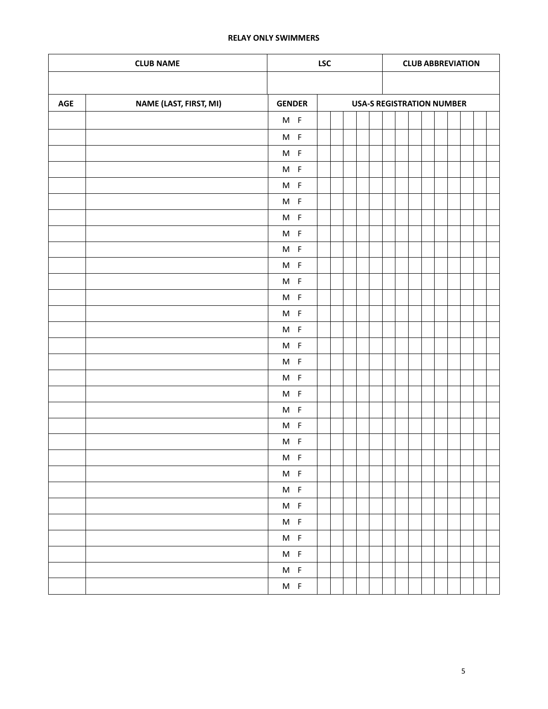## **RELAY ONLY SWIMMERS**

|     | <b>LSC</b>             |                               |  |  |  | <b>CLUB ABBREVIATION</b> |                                  |  |  |  |  |  |  |  |  |
|-----|------------------------|-------------------------------|--|--|--|--------------------------|----------------------------------|--|--|--|--|--|--|--|--|
|     |                        |                               |  |  |  |                          |                                  |  |  |  |  |  |  |  |  |
| AGE | NAME (LAST, FIRST, MI) | <b>GENDER</b>                 |  |  |  |                          | <b>USA-S REGISTRATION NUMBER</b> |  |  |  |  |  |  |  |  |
|     |                        | $M$ F                         |  |  |  |                          |                                  |  |  |  |  |  |  |  |  |
|     |                        | $M$ F                         |  |  |  |                          |                                  |  |  |  |  |  |  |  |  |
|     |                        | $M$ F                         |  |  |  |                          |                                  |  |  |  |  |  |  |  |  |
|     |                        | $M$ F                         |  |  |  |                          |                                  |  |  |  |  |  |  |  |  |
|     |                        | $M$ F                         |  |  |  |                          |                                  |  |  |  |  |  |  |  |  |
|     |                        | $M$ F                         |  |  |  |                          |                                  |  |  |  |  |  |  |  |  |
|     |                        | $M$ F                         |  |  |  |                          |                                  |  |  |  |  |  |  |  |  |
|     |                        | $M$ F                         |  |  |  |                          |                                  |  |  |  |  |  |  |  |  |
|     |                        | $M$ F                         |  |  |  |                          |                                  |  |  |  |  |  |  |  |  |
|     |                        | $M$ F                         |  |  |  |                          |                                  |  |  |  |  |  |  |  |  |
|     |                        | $M$ F                         |  |  |  |                          |                                  |  |  |  |  |  |  |  |  |
|     |                        | $M$ F                         |  |  |  |                          |                                  |  |  |  |  |  |  |  |  |
|     |                        | $M$ F                         |  |  |  |                          |                                  |  |  |  |  |  |  |  |  |
|     |                        | $M$ F                         |  |  |  |                          |                                  |  |  |  |  |  |  |  |  |
|     |                        | $M$ F                         |  |  |  |                          |                                  |  |  |  |  |  |  |  |  |
|     |                        | $M$ F                         |  |  |  |                          |                                  |  |  |  |  |  |  |  |  |
|     |                        | $M$ F                         |  |  |  |                          |                                  |  |  |  |  |  |  |  |  |
|     |                        | $M$ F                         |  |  |  |                          |                                  |  |  |  |  |  |  |  |  |
|     |                        | $M$ F                         |  |  |  |                          |                                  |  |  |  |  |  |  |  |  |
|     |                        | $M$ F                         |  |  |  |                          |                                  |  |  |  |  |  |  |  |  |
|     |                        | $M$ F                         |  |  |  |                          |                                  |  |  |  |  |  |  |  |  |
|     |                        | $M$ F                         |  |  |  |                          |                                  |  |  |  |  |  |  |  |  |
|     |                        | $\mathsf{M} \quad \mathsf{F}$ |  |  |  |                          |                                  |  |  |  |  |  |  |  |  |
|     |                        | $M$ F                         |  |  |  |                          |                                  |  |  |  |  |  |  |  |  |
|     |                        | $\mathsf{M} \quad \mathsf{F}$ |  |  |  |                          |                                  |  |  |  |  |  |  |  |  |
|     |                        | $M$ F                         |  |  |  |                          |                                  |  |  |  |  |  |  |  |  |
|     |                        | $M$ F                         |  |  |  |                          |                                  |  |  |  |  |  |  |  |  |
|     |                        | $M$ F                         |  |  |  |                          |                                  |  |  |  |  |  |  |  |  |
|     |                        | $\mathsf{M} \quad \mathsf{F}$ |  |  |  |                          |                                  |  |  |  |  |  |  |  |  |
|     |                        | $\mathsf{M} \quad \mathsf{F}$ |  |  |  |                          |                                  |  |  |  |  |  |  |  |  |